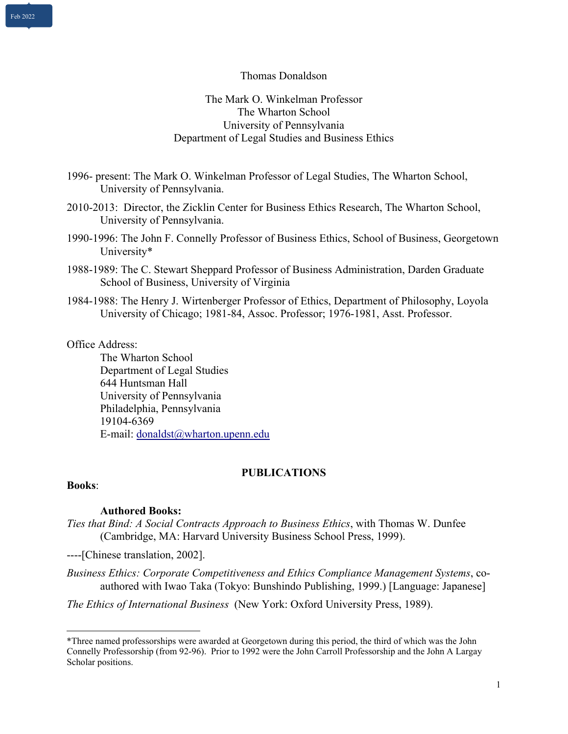Thomas Donaldson

The Mark O. Winkelman Professor The Wharton School University of Pennsylvania Department of Legal Studies and Business Ethics

1996- present: The Mark O. Winkelman Professor of Legal Studies, The Wharton School, University of Pennsylvania.

2010-2013: Director, the Zicklin Center for Business Ethics Research, The Wharton School, University of Pennsylvania.

1990-1996: The John F. Connelly Professor of Business Ethics, School of Business, Georgetown University\*

1988-1989: The C. Stewart Sheppard Professor of Business Administration, Darden Graduate School of Business, University of Virginia

1984-1988: The Henry J. Wirtenberger Professor of Ethics, Department of Philosophy, Loyola University of Chicago; 1981-84, Assoc. Professor; 1976-1981, Asst. Professor.

#### Office Address:

The Wharton School Department of Legal Studies 644 Huntsman Hall University of Pennsylvania Philadelphia, Pennsylvania 19104-6369 E-mail: donaldst@wharton.upenn.edu

#### **PUBLICATIONS**

## **Books**:

## **Authored Books:**

*Ties that Bind: A Social Contracts Approach to Business Ethics*, with Thomas W. Dunfee (Cambridge, MA: Harvard University Business School Press, 1999).

----[Chinese translation, 2002].

*Business Ethics: Corporate Competitiveness and Ethics Compliance Management Systems*, coauthored with Iwao Taka (Tokyo: Bunshindo Publishing, 1999.) [Language: Japanese]

*The Ethics of International Business* (New York: Oxford University Press, 1989).

<sup>\*</sup>Three named professorships were awarded at Georgetown during this period, the third of which was the John Connelly Professorship (from 92-96). Prior to 1992 were the John Carroll Professorship and the John A Largay Scholar positions.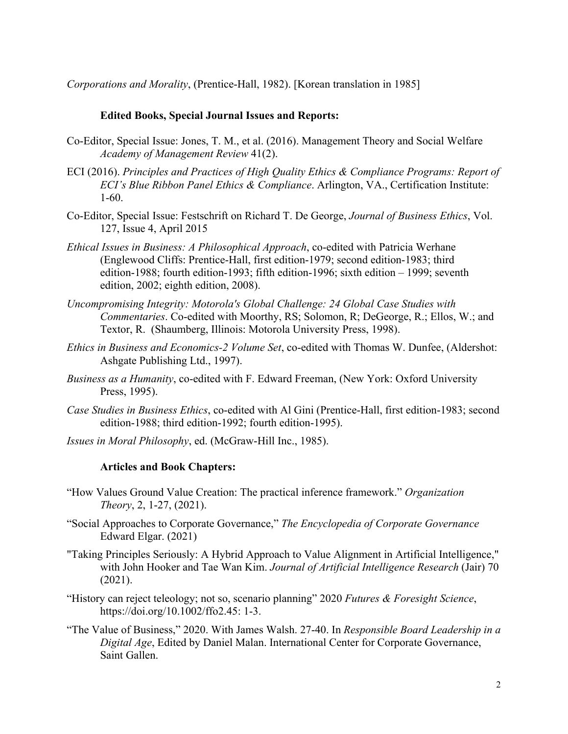*Corporations and Morality*, (Prentice-Hall, 1982). [Korean translation in 1985]

## **Edited Books, Special Journal Issues and Reports:**

- Co-Editor, Special Issue: Jones, T. M., et al. (2016). Management Theory and Social Welfare *Academy of Management Review* 41(2).
- ECI (2016). *Principles and Practices of High Quality Ethics & Compliance Programs: Report of ECI's Blue Ribbon Panel Ethics & Compliance*. Arlington, VA., Certification Institute: 1-60.
- Co-Editor, Special Issue: Festschrift on Richard T. De George, *Journal of Business Ethics*, Vol. 127, Issue 4, April 2015
- *Ethical Issues in Business: A Philosophical Approach*, co-edited with Patricia Werhane (Englewood Cliffs: Prentice-Hall, first edition-1979; second edition-1983; third edition-1988; fourth edition-1993; fifth edition-1996; sixth edition – 1999; seventh edition, 2002; eighth edition, 2008).
- *Uncompromising Integrity: Motorola's Global Challenge: 24 Global Case Studies with Commentaries*. Co-edited with Moorthy, RS; Solomon, R; DeGeorge, R.; Ellos, W.; and Textor, R. (Shaumberg, Illinois: Motorola University Press, 1998).
- *Ethics in Business and Economics-2 Volume Set*, co-edited with Thomas W. Dunfee, (Aldershot: Ashgate Publishing Ltd., 1997).
- *Business as a Humanity*, co-edited with F. Edward Freeman, (New York: Oxford University Press, 1995).
- *Case Studies in Business Ethics*, co-edited with Al Gini (Prentice-Hall, first edition-1983; second edition-1988; third edition-1992; fourth edition-1995).
- *Issues in Moral Philosophy*, ed. (McGraw-Hill Inc., 1985).

## **Articles and Book Chapters:**

- "How Values Ground Value Creation: The practical inference framework." *Organization Theory*, 2, 1-27, (2021).
- "Social Approaches to Corporate Governance," *The Encyclopedia of Corporate Governance* Edward Elgar. (2021)
- "Taking Principles Seriously: A Hybrid Approach to Value Alignment in Artificial Intelligence," with John Hooker and Tae Wan Kim. *Journal of Artificial Intelligence Research* (Jair) 70 (2021).
- "History can reject teleology; not so, scenario planning" 2020 *Futures & Foresight Science*, https://doi.org/10.1002/ffo2.45: 1-3.
- "The Value of Business," 2020. With James Walsh. 27-40. In *Responsible Board Leadership in a Digital Age*, Edited by Daniel Malan. International Center for Corporate Governance, Saint Gallen.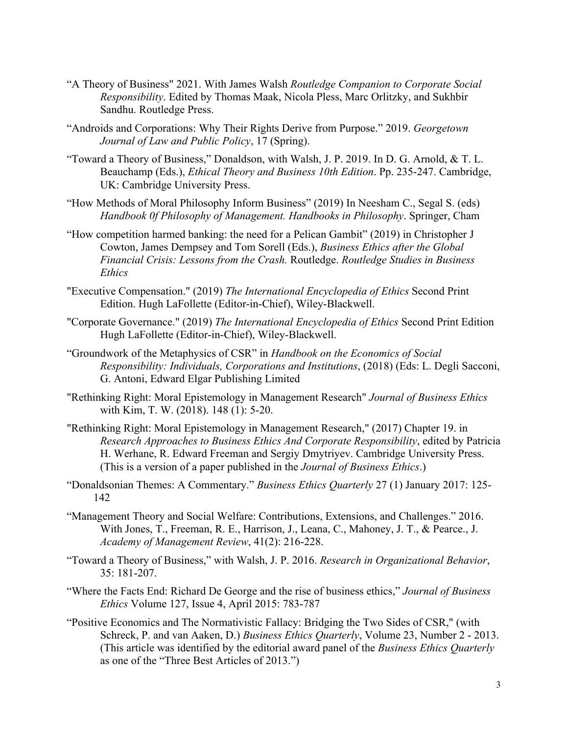- "A Theory of Business" 2021. With James Walsh *Routledge Companion to Corporate Social Responsibility*. Edited by Thomas Maak, Nicola Pless, Marc Orlitzky, and Sukhbir Sandhu. Routledge Press.
- "Androids and Corporations: Why Their Rights Derive from Purpose." 2019. *Georgetown Journal of Law and Public Policy*, 17 (Spring).
- "Toward a Theory of Business," Donaldson, with Walsh, J. P. 2019. In D. G. Arnold, & T. L. Beauchamp (Eds.), *Ethical Theory and Business 10th Edition*. Pp. 235-247. Cambridge, UK: Cambridge University Press.
- "How Methods of Moral Philosophy Inform Business" (2019) In Neesham C., Segal S. (eds) *Handbook 0f Philosophy of Management. Handbooks in Philosophy*. Springer, Cham
- "How competition harmed banking: the need for a Pelican Gambit" (2019) in Christopher J Cowton, James Dempsey and Tom Sorell (Eds.), *Business Ethics after the Global Financial Crisis: Lessons from the Crash.* Routledge. *Routledge Studies in Business Ethics*
- "Executive Compensation." (2019) *The International Encyclopedia of Ethics* Second Print Edition. Hugh LaFollette (Editor-in-Chief), Wiley-Blackwell.
- "Corporate Governance." (2019) *The International Encyclopedia of Ethics* Second Print Edition Hugh LaFollette (Editor-in-Chief), Wiley-Blackwell.
- "Groundwork of the Metaphysics of CSR" in *Handbook on the Economics of Social Responsibility: Individuals, Corporations and Institutions*, (2018) (Eds: L. Degli Sacconi, G. Antoni, Edward Elgar Publishing Limited
- "Rethinking Right: Moral Epistemology in Management Research" *Journal of Business Ethics*  with Kim, T. W. (2018). 148 (1): 5-20.
- "Rethinking Right: Moral Epistemology in Management Research," (2017) Chapter 19. in *Research Approaches to Business Ethics And Corporate Responsibility*, edited by Patricia H. Werhane, R. Edward Freeman and Sergiy Dmytriyev. Cambridge University Press. (This is a version of a paper published in the *Journal of Business Ethics*.)
- "Donaldsonian Themes: A Commentary." *Business Ethics Quarterly* 27 (1) January 2017: 125- 142
- "Management Theory and Social Welfare: Contributions, Extensions, and Challenges." 2016. With Jones, T., Freeman, R. E., Harrison, J., Leana, C., Mahoney, J. T., & Pearce., J. *Academy of Management Review*, 41(2): 216-228.
- "Toward a Theory of Business," with Walsh, J. P. 2016. *Research in Organizational Behavior*, 35: 181-207.
- "Where the Facts End: Richard De George and the rise of business ethics," *Journal of Business Ethics* Volume 127, Issue 4, April 2015: 783-787
- "Positive Economics and The Normativistic Fallacy: Bridging the Two Sides of CSR," (with Schreck, P. and van Aaken, D.) *Business Ethics Quarterly*, Volume 23, Number 2 - 2013. (This article was identified by the editorial award panel of the *Business Ethics Quarterly* as one of the "Three Best Articles of 2013.")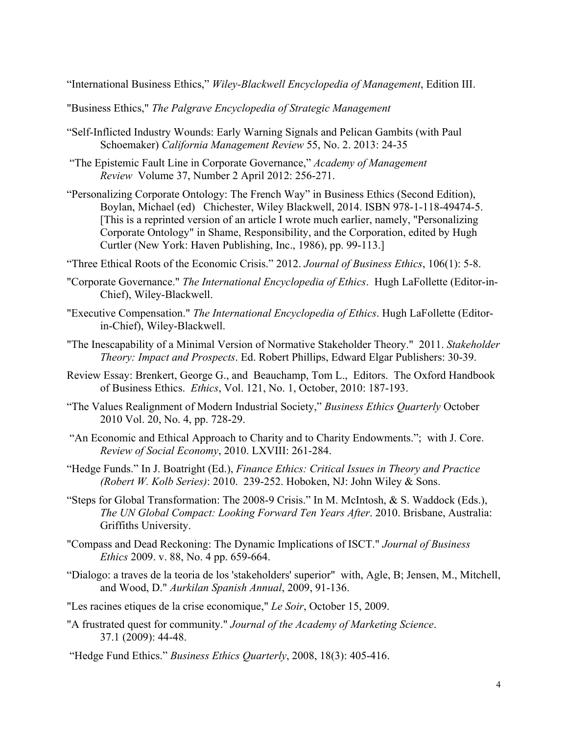"International Business Ethics," *Wiley-Blackwell Encyclopedia of Management*, Edition III.

"Business Ethics," *The Palgrave Encyclopedia of Strategic Management* 

- "Self-Inflicted Industry Wounds: Early Warning Signals and Pelican Gambits (with Paul Schoemaker) *California Management Review* 55, No. 2. 2013: 24-35
- "The Epistemic Fault Line in Corporate Governance," *Academy of Management Review* Volume 37, Number 2 April 2012: 256-271.
- "Personalizing Corporate Ontology: The French Way" in Business Ethics (Second Edition), Boylan, Michael (ed) Chichester, Wiley Blackwell, 2014. ISBN 978-1-118-49474-5. [This is a reprinted version of an article I wrote much earlier, namely, "Personalizing Corporate Ontology" in Shame, Responsibility, and the Corporation, edited by Hugh Curtler (New York: Haven Publishing, Inc., 1986), pp. 99-113.]
- "Three Ethical Roots of the Economic Crisis." 2012. *Journal of Business Ethics*, 106(1): 5-8.
- "Corporate Governance." *The International Encyclopedia of Ethics*. Hugh LaFollette (Editor-in-Chief), Wiley-Blackwell.
- "Executive Compensation." *The International Encyclopedia of Ethics*. Hugh LaFollette (Editorin-Chief), Wiley-Blackwell.
- "The Inescapability of a Minimal Version of Normative Stakeholder Theory." 2011. *Stakeholder Theory: Impact and Prospects*. Ed. Robert Phillips, Edward Elgar Publishers: 30-39.
- Review Essay: Brenkert, George G., and Beauchamp, Tom L., Editors. The Oxford Handbook of Business Ethics. *Ethics*, Vol. 121, No. 1, October, 2010: 187-193.
- "The Values Realignment of Modern Industrial Society," *Business Ethics Quarterly* October 2010 Vol. 20, No. 4, pp. 728-29.
- "An Economic and Ethical Approach to Charity and to Charity Endowments."; with J. Core. *Review of Social Economy*, 2010. LXVIII: 261-284.
- "Hedge Funds." In J. Boatright (Ed.), *Finance Ethics: Critical Issues in Theory and Practice (Robert W. Kolb Series)*: 2010. 239-252. Hoboken, NJ: John Wiley & Sons.
- "Steps for Global Transformation: The 2008-9 Crisis." In M. McIntosh, & S. Waddock (Eds.), *The UN Global Compact: Looking Forward Ten Years After*. 2010. Brisbane, Australia: Griffiths University.
- "Compass and Dead Reckoning: The Dynamic Implications of ISCT." *Journal of Business Ethics* 2009. v. 88, No. 4 pp. 659-664.
- "Dialogo: a traves de la teoria de los 'stakeholders' superior" with, Agle, B; Jensen, M., Mitchell, and Wood, D." *Aurkilan Spanish Annual*, 2009, 91-136.
- "Les racines etiques de la crise economique," *Le Soir*, October 15, 2009.
- "A frustrated quest for community." *Journal of the Academy of Marketing Science*. 37.1 (2009): 44-48.
- "Hedge Fund Ethics." *Business Ethics Quarterly*, 2008, 18(3): 405-416.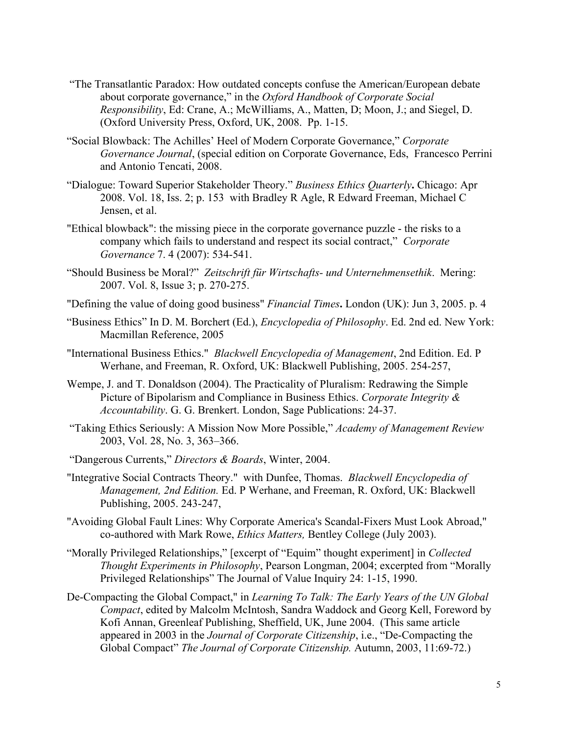- "The Transatlantic Paradox: How outdated concepts confuse the American/European debate about corporate governance," in the *Oxford Handbook of Corporate Social Responsibility*, Ed: Crane, A.; McWilliams, A., Matten, D; Moon, J.; and Siegel, D. (Oxford University Press, Oxford, UK, 2008. Pp. 1-15.
- "Social Blowback: The Achilles' Heel of Modern Corporate Governance," *Corporate Governance Journal*, (special edition on Corporate Governance, Eds, Francesco Perrini and Antonio Tencati, 2008.
- "Dialogue: Toward Superior Stakeholder Theory." *Business Ethics Quarterly***.** Chicago: Apr 2008. Vol. 18, Iss. 2; p. 153 with Bradley R Agle, R Edward Freeman, Michael C Jensen, et al.
- "Ethical blowback": the missing piece in the corporate governance puzzle the risks to a company which fails to understand and respect its social contract," *Corporate Governance* 7. 4 (2007): 534-541.
- "Should Business be Moral?" *Zeitschrift für Wirtschafts- und Unternehmensethik*. Mering: 2007. Vol. 8, Issue 3; p. 270-275.
- "Defining the value of doing good business" *Financial Times***.** London (UK): Jun 3, 2005. p. 4
- "Business Ethics" In D. M. Borchert (Ed.), *Encyclopedia of Philosophy*. Ed. 2nd ed. New York: Macmillan Reference, 2005
- "International Business Ethics." *Blackwell Encyclopedia of Management*, 2nd Edition. Ed. P Werhane, and Freeman, R. Oxford, UK: Blackwell Publishing, 2005. 254-257,
- Wempe, J. and T. Donaldson (2004). The Practicality of Pluralism: Redrawing the Simple Picture of Bipolarism and Compliance in Business Ethics. *Corporate Integrity & Accountability*. G. G. Brenkert. London, Sage Publications: 24-37.
- "Taking Ethics Seriously: A Mission Now More Possible," *Academy of Management Review* 2003, Vol. 28, No. 3, 363–366.
- "Dangerous Currents," *Directors & Boards*, Winter, 2004.
- "Integrative Social Contracts Theory." with Dunfee, Thomas. *Blackwell Encyclopedia of Management, 2nd Edition.* Ed. P Werhane, and Freeman, R. Oxford, UK: Blackwell Publishing, 2005. 243-247,
- "Avoiding Global Fault Lines: Why Corporate America's Scandal-Fixers Must Look Abroad," co-authored with Mark Rowe, *Ethics Matters,* Bentley College (July 2003).
- "Morally Privileged Relationships," [excerpt of "Equim" thought experiment] in *Collected Thought Experiments in Philosophy*, Pearson Longman, 2004; excerpted from "Morally Privileged Relationships" The Journal of Value Inquiry 24: 1-15, 1990.
- De-Compacting the Global Compact," in *Learning To Talk: The Early Years of the UN Global Compact*, edited by Malcolm McIntosh, Sandra Waddock and Georg Kell, Foreword by Kofi Annan, Greenleaf Publishing, Sheffield, UK, June 2004. (This same article appeared in 2003 in the *Journal of Corporate Citizenship*, i.e., "De-Compacting the Global Compact" *The Journal of Corporate Citizenship.* Autumn, 2003, 11:69-72.)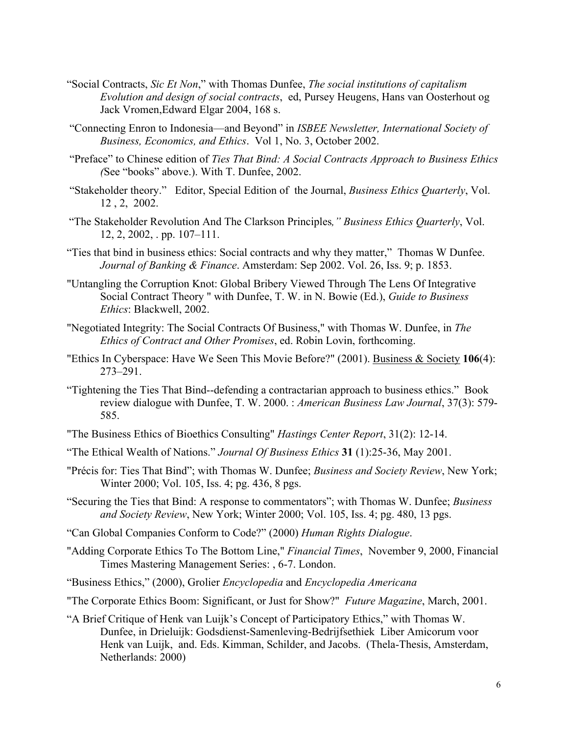- "Social Contracts, *Sic Et Non*," with Thomas Dunfee, *The social institutions of capitalism Evolution and design of social contracts*, ed, Pursey Heugens, Hans van Oosterhout og Jack Vromen,Edward Elgar 2004, 168 s.
- "Connecting Enron to Indonesia—and Beyond" in *ISBEE Newsletter, International Society of Business, Economics, and Ethics*. Vol 1, No. 3, October 2002.
- "Preface" to Chinese edition of *Ties That Bind: A Social Contracts Approach to Business Ethics (*See "books" above.). With T. Dunfee, 2002.
- "Stakeholder theory." Editor, Special Edition of the Journal, *Business Ethics Quarterly*, Vol. 12 , 2, 2002.
- "The Stakeholder Revolution And The Clarkson Principles*," Business Ethics Quarterly*, Vol. 12, 2, 2002, . pp. 107–111.
- "Ties that bind in business ethics: Social contracts and why they matter," Thomas W Dunfee. *Journal of Banking & Finance*. Amsterdam: Sep 2002. Vol. 26, Iss. 9; p. 1853.
- "Untangling the Corruption Knot: Global Bribery Viewed Through The Lens Of Integrative Social Contract Theory " with Dunfee, T. W. in N. Bowie (Ed.), *Guide to Business Ethics*: Blackwell, 2002.
- "Negotiated Integrity: The Social Contracts Of Business," with Thomas W. Dunfee, in *The Ethics of Contract and Other Promises*, ed. Robin Lovin, forthcoming.
- "Ethics In Cyberspace: Have We Seen This Movie Before?" (2001). Business & Society **106**(4): 273–291.
- "Tightening the Ties That Bind--defending a contractarian approach to business ethics." Book review dialogue with Dunfee, T. W. 2000. : *American Business Law Journal*, 37(3): 579- 585.
- "The Business Ethics of Bioethics Consulting" *Hastings Center Report*, 31(2): 12-14.
- "The Ethical Wealth of Nations." *Journal Of Business Ethics* **31** (1):25-36, May 2001.
- "Précis for: Ties That Bind"; with Thomas W. Dunfee; *Business and Society Review*, New York; Winter 2000; Vol. 105, Iss. 4; pg. 436, 8 pgs.
- "Securing the Ties that Bind: A response to commentators"; with Thomas W. Dunfee; *Business and Society Review*, New York; Winter 2000; Vol. 105, Iss. 4; pg. 480, 13 pgs.
- "Can Global Companies Conform to Code?" (2000) *Human Rights Dialogue*.
- "Adding Corporate Ethics To The Bottom Line," *Financial Times*, November 9, 2000, Financial Times Mastering Management Series: , 6-7. London.
- "Business Ethics," (2000), Grolier *Encyclopedia* and *Encyclopedia Americana*
- "The Corporate Ethics Boom: Significant, or Just for Show?" *Future Magazine*, March, 2001.
- "A Brief Critique of Henk van Luijk's Concept of Participatory Ethics," with Thomas W. Dunfee, in Drieluijk: Godsdienst-Samenleving-Bedrijfsethiek Liber Amicorum voor Henk van Luijk, and. Eds. Kimman, Schilder, and Jacobs. (Thela-Thesis, Amsterdam, Netherlands: 2000)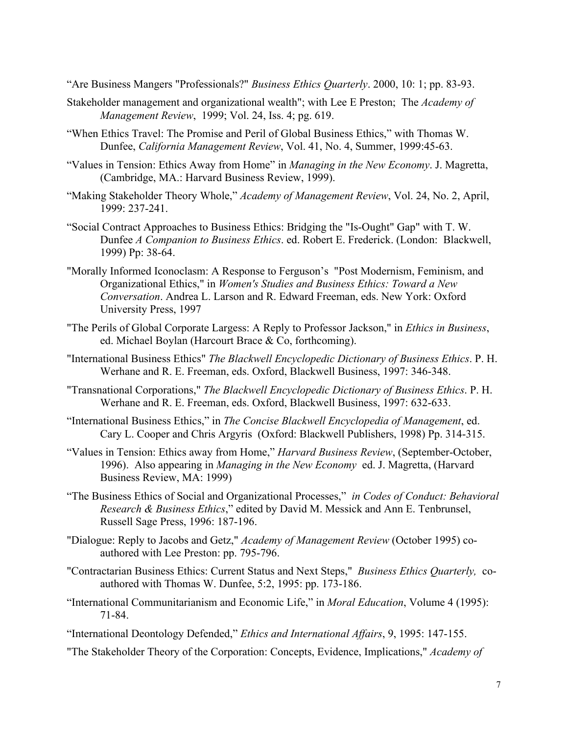"Are Business Mangers "Professionals?" *Business Ethics Quarterly*. 2000, 10: 1; pp. 83-93.

- Stakeholder management and organizational wealth"; with Lee E Preston; The *Academy of Management Review*, 1999; Vol. 24, Iss. 4; pg. 619.
- "When Ethics Travel: The Promise and Peril of Global Business Ethics," with Thomas W. Dunfee, *California Management Review*, Vol. 41, No. 4, Summer, 1999:45-63.
- "Values in Tension: Ethics Away from Home" in *Managing in the New Economy*. J. Magretta, (Cambridge, MA.: Harvard Business Review, 1999).
- "Making Stakeholder Theory Whole," *Academy of Management Review*, Vol. 24, No. 2, April, 1999: 237-241.
- "Social Contract Approaches to Business Ethics: Bridging the "Is-Ought" Gap" with T. W. Dunfee *A Companion to Business Ethics*. ed. Robert E. Frederick. (London: Blackwell, 1999) Pp: 38-64.
- "Morally Informed Iconoclasm: A Response to Ferguson's "Post Modernism, Feminism, and Organizational Ethics," in *Women's Studies and Business Ethics: Toward a New Conversation*. Andrea L. Larson and R. Edward Freeman, eds. New York: Oxford University Press, 1997
- "The Perils of Global Corporate Largess: A Reply to Professor Jackson," in *Ethics in Business*, ed. Michael Boylan (Harcourt Brace & Co, forthcoming).
- "International Business Ethics" *The Blackwell Encyclopedic Dictionary of Business Ethics*. P. H. Werhane and R. E. Freeman, eds. Oxford, Blackwell Business, 1997: 346-348.
- "Transnational Corporations," *The Blackwell Encyclopedic Dictionary of Business Ethics*. P. H. Werhane and R. E. Freeman, eds. Oxford, Blackwell Business, 1997: 632-633.
- "International Business Ethics," in *The Concise Blackwell Encyclopedia of Management*, ed. Cary L. Cooper and Chris Argyris (Oxford: Blackwell Publishers, 1998) Pp. 314-315.
- "Values in Tension: Ethics away from Home," *Harvard Business Review*, (September-October, 1996). Also appearing in *Managing in the New Economy* ed. J. Magretta, (Harvard Business Review, MA: 1999)
- "The Business Ethics of Social and Organizational Processes," *in Codes of Conduct: Behavioral Research & Business Ethics*," edited by David M. Messick and Ann E. Tenbrunsel, Russell Sage Press, 1996: 187-196.
- "Dialogue: Reply to Jacobs and Getz," *Academy of Management Review* (October 1995) coauthored with Lee Preston: pp. 795-796.
- "Contractarian Business Ethics: Current Status and Next Steps," *Business Ethics Quarterly,* coauthored with Thomas W. Dunfee, 5:2, 1995: pp. 173-186.
- "International Communitarianism and Economic Life," in *Moral Education*, Volume 4 (1995): 71-84.
- "International Deontology Defended," *Ethics and International Affairs*, 9, 1995: 147-155.
- "The Stakeholder Theory of the Corporation: Concepts, Evidence, Implications," *Academy of*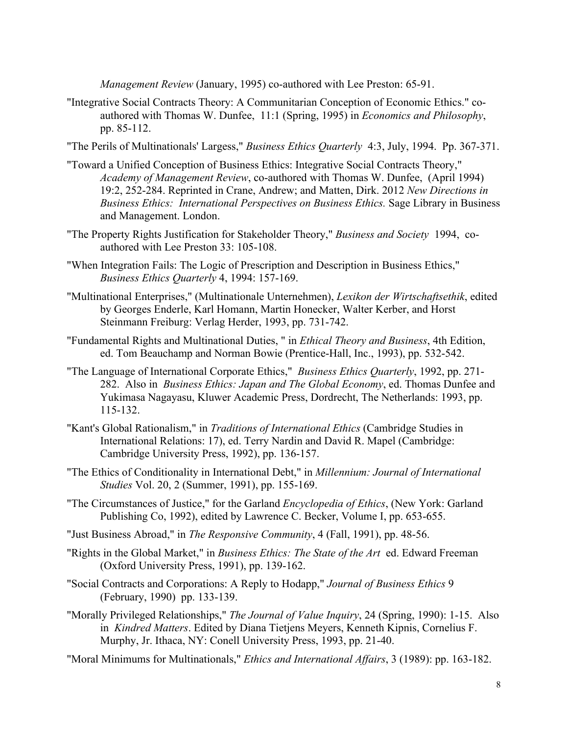*Management Review* (January, 1995) co-authored with Lee Preston: 65-91.

- "Integrative Social Contracts Theory: A Communitarian Conception of Economic Ethics." coauthored with Thomas W. Dunfee, 11:1 (Spring, 1995) in *Economics and Philosophy*, pp. 85-112.
- "The Perils of Multinationals' Largess," *Business Ethics Quarterly* 4:3, July, 1994. Pp. 367-371.
- "Toward a Unified Conception of Business Ethics: Integrative Social Contracts Theory," *Academy of Management Review*, co-authored with Thomas W. Dunfee, (April 1994) 19:2, 252-284. Reprinted in Crane, Andrew; and Matten, Dirk. 2012 *New Directions in Business Ethics: International Perspectives on Business Ethics.* Sage Library in Business and Management. London.
- "The Property Rights Justification for Stakeholder Theory," *Business and Society* 1994, coauthored with Lee Preston 33: 105-108.
- "When Integration Fails: The Logic of Prescription and Description in Business Ethics," *Business Ethics Quarterly* 4, 1994: 157-169.
- "Multinational Enterprises," (Multinationale Unternehmen), *Lexikon der Wirtschaftsethik*, edited by Georges Enderle, Karl Homann, Martin Honecker, Walter Kerber, and Horst Steinmann Freiburg: Verlag Herder, 1993, pp. 731-742.
- "Fundamental Rights and Multinational Duties, " in *Ethical Theory and Business*, 4th Edition, ed. Tom Beauchamp and Norman Bowie (Prentice-Hall, Inc., 1993), pp. 532-542.
- "The Language of International Corporate Ethics," *Business Ethics Quarterly*, 1992, pp. 271- 282. Also in *Business Ethics: Japan and The Global Economy*, ed. Thomas Dunfee and Yukimasa Nagayasu, Kluwer Academic Press, Dordrecht, The Netherlands: 1993, pp. 115-132.
- "Kant's Global Rationalism," in *Traditions of International Ethics* (Cambridge Studies in International Relations: 17), ed. Terry Nardin and David R. Mapel (Cambridge: Cambridge University Press, 1992), pp. 136-157.
- "The Ethics of Conditionality in International Debt," in *Millennium: Journal of International Studies* Vol. 20, 2 (Summer, 1991), pp. 155-169.
- "The Circumstances of Justice," for the Garland *Encyclopedia of Ethics*, (New York: Garland Publishing Co, 1992), edited by Lawrence C. Becker, Volume I, pp. 653-655.
- "Just Business Abroad," in *The Responsive Community*, 4 (Fall, 1991), pp. 48-56.
- "Rights in the Global Market," in *Business Ethics: The State of the Art* ed. Edward Freeman (Oxford University Press, 1991), pp. 139-162.
- "Social Contracts and Corporations: A Reply to Hodapp," *Journal of Business Ethics* 9 (February, 1990) pp. 133-139.
- "Morally Privileged Relationships," *The Journal of Value Inquiry*, 24 (Spring, 1990): 1-15. Also in *Kindred Matters*. Edited by Diana Tietjens Meyers, Kenneth Kipnis, Cornelius F. Murphy, Jr. Ithaca, NY: Conell University Press, 1993, pp. 21-40.
- "Moral Minimums for Multinationals," *Ethics and International Affairs*, 3 (1989): pp. 163-182.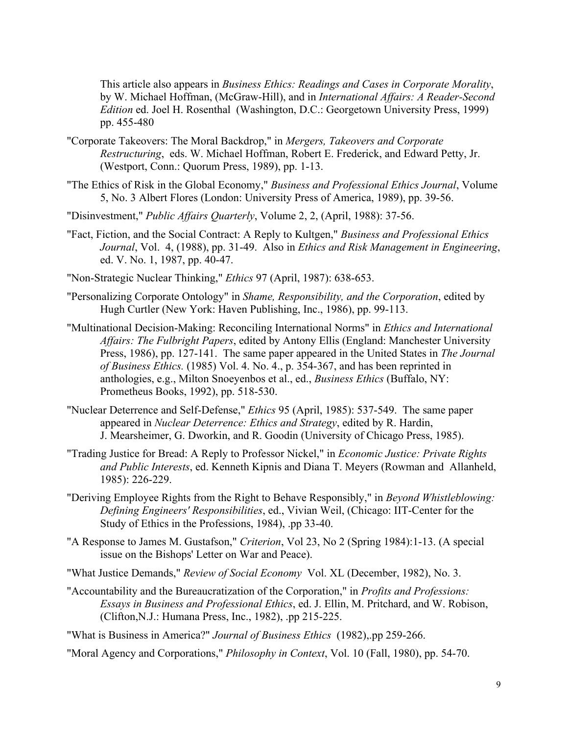This article also appears in *Business Ethics: Readings and Cases in Corporate Morality*, by W. Michael Hoffman, (McGraw-Hill), and in *International Affairs: A Reader-Second Edition* ed. Joel H. Rosenthal (Washington, D.C.: Georgetown University Press, 1999) pp. 455-480

- "Corporate Takeovers: The Moral Backdrop," in *Mergers, Takeovers and Corporate Restructuring*, eds. W. Michael Hoffman, Robert E. Frederick, and Edward Petty, Jr. (Westport, Conn.: Quorum Press, 1989), pp. 1-13.
- "The Ethics of Risk in the Global Economy," *Business and Professional Ethics Journal*, Volume 5, No. 3 Albert Flores (London: University Press of America, 1989), pp. 39-56.
- "Disinvestment," *Public Affairs Quarterly*, Volume 2, 2, (April, 1988): 37-56.
- "Fact, Fiction, and the Social Contract: A Reply to Kultgen," *Business and Professional Ethics Journal*, Vol. 4, (1988), pp. 31-49. Also in *Ethics and Risk Management in Engineering*, ed. V. No. 1, 1987, pp. 40-47.
- "Non-Strategic Nuclear Thinking," *Ethics* 97 (April, 1987): 638-653.
- "Personalizing Corporate Ontology" in *Shame, Responsibility, and the Corporation*, edited by Hugh Curtler (New York: Haven Publishing, Inc., 1986), pp. 99-113.
- "Multinational Decision-Making: Reconciling International Norms" in *Ethics and International Affairs: The Fulbright Papers*, edited by Antony Ellis (England: Manchester University Press, 1986), pp. 127-141. The same paper appeared in the United States in *The Journal of Business Ethics.* (1985) Vol. 4. No. 4., p. 354-367, and has been reprinted in anthologies, e.g., Milton Snoeyenbos et al., ed., *Business Ethics* (Buffalo, NY: Prometheus Books, 1992), pp. 518-530.
- "Nuclear Deterrence and Self-Defense," *Ethics* 95 (April, 1985): 537-549. The same paper appeared in *Nuclear Deterrence: Ethics and Strategy*, edited by R. Hardin, J. Mearsheimer, G. Dworkin, and R. Goodin (University of Chicago Press, 1985).
- "Trading Justice for Bread: A Reply to Professor Nickel," in *Economic Justice: Private Rights and Public Interests*, ed. Kenneth Kipnis and Diana T. Meyers (Rowman and Allanheld, 1985): 226-229.
- "Deriving Employee Rights from the Right to Behave Responsibly," in *Beyond Whistleblowing: Defining Engineers' Responsibilities*, ed., Vivian Weil, (Chicago: IIT-Center for the Study of Ethics in the Professions, 1984), .pp 33-40.
- "A Response to James M. Gustafson," *Criterion*, Vol 23, No 2 (Spring 1984):1-13. (A special issue on the Bishops' Letter on War and Peace).
- "What Justice Demands," *Review of Social Economy* Vol. XL (December, 1982), No. 3.
- "Accountability and the Bureaucratization of the Corporation," in *Profits and Professions: Essays in Business and Professional Ethics*, ed. J. Ellin, M. Pritchard, and W. Robison, (Clifton,N.J.: Humana Press, Inc., 1982), .pp 215-225.

"What is Business in America?" *Journal of Business Ethics* (1982),.pp 259-266.

"Moral Agency and Corporations," *Philosophy in Context*, Vol. 10 (Fall, 1980), pp. 54-70.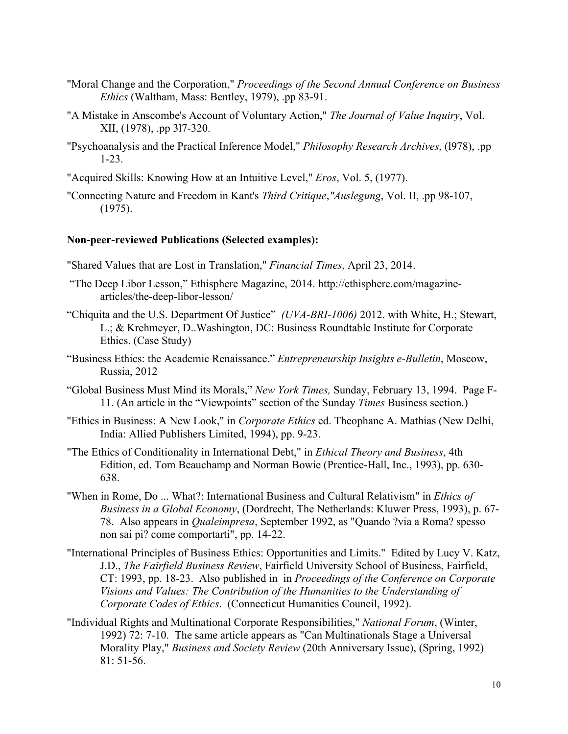- "Moral Change and the Corporation," *Proceedings of the Second Annual Conference on Business Ethics* (Waltham, Mass: Bentley, 1979), .pp 83-91.
- "A Mistake in Anscombe's Account of Voluntary Action," *The Journal of Value Inquiry*, Vol. XII, (1978), .pp 3l7-320.
- "Psychoanalysis and the Practical Inference Model," *Philosophy Research Archives*, (l978), .pp 1-23.
- "Acquired Skills: Knowing How at an Intuitive Level," *Eros*, Vol. 5, (1977).
- "Connecting Nature and Freedom in Kant's *Third Critique*,*"Auslegung*, Vol. II, .pp 98-107, (1975).

#### **Non-peer-reviewed Publications (Selected examples):**

- "Shared Values that are Lost in Translation," *Financial Times*, April 23, 2014.
- "The Deep Libor Lesson," Ethisphere Magazine, 2014. http://ethisphere.com/magazinearticles/the-deep-libor-lesson/
- "Chiquita and the U.S. Department Of Justice"*(UVA-BRI-1006)* 2012. with White, H.; Stewart, L.; & Krehmeyer, D..Washington, DC: Business Roundtable Institute for Corporate Ethics. (Case Study)
- "Business Ethics: the Academic Renaissance." *Entrepreneurship Insights e-Bulletin*, Moscow, Russia, 2012
- "Global Business Must Mind its Morals," *New York Times,* Sunday, February 13, 1994. Page F-11. (An article in the "Viewpoints" section of the Sunday *Times* Business section.)
- "Ethics in Business: A New Look," in *Corporate Ethics* ed. Theophane A. Mathias (New Delhi, India: Allied Publishers Limited, 1994), pp. 9-23.
- "The Ethics of Conditionality in International Debt," in *Ethical Theory and Business*, 4th Edition, ed. Tom Beauchamp and Norman Bowie (Prentice-Hall, Inc., 1993), pp. 630- 638.
- "When in Rome, Do ... What?: International Business and Cultural Relativism" in *Ethics of Business in a Global Economy*, (Dordrecht, The Netherlands: Kluwer Press, 1993), p. 67- 78. Also appears in *Qualeimpresa*, September 1992, as "Quando ?via a Roma? spesso non sai pi? come comportarti", pp. 14-22.
- "International Principles of Business Ethics: Opportunities and Limits." Edited by Lucy V. Katz, J.D., *The Fairfield Business Review*, Fairfield University School of Business, Fairfield, CT: 1993, pp. 18-23. Also published in in *Proceedings of the Conference on Corporate Visions and Values: The Contribution of the Humanities to the Understanding of Corporate Codes of Ethics*. (Connecticut Humanities Council, 1992).
- "Individual Rights and Multinational Corporate Responsibilities," *National Forum*, (Winter, 1992) 72: 7-10. The same article appears as "Can Multinationals Stage a Universal Morality Play," *Business and Society Review* (20th Anniversary Issue), (Spring, 1992) 81: 51-56.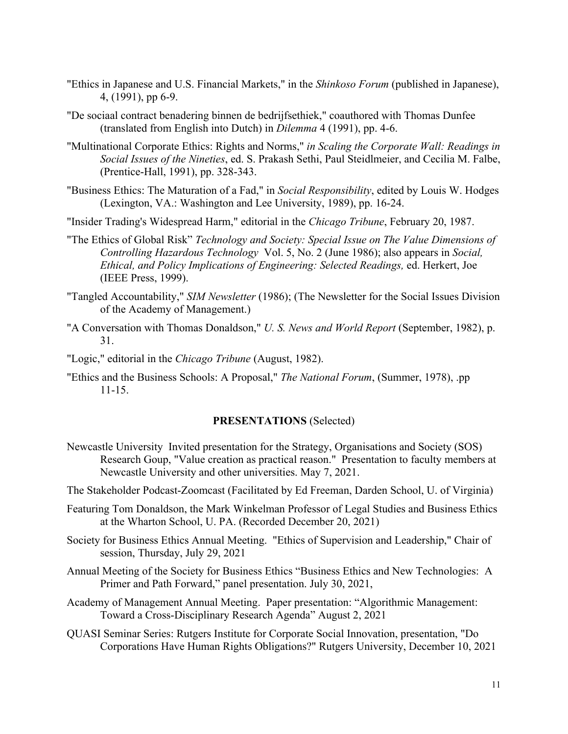- "Ethics in Japanese and U.S. Financial Markets," in the *Shinkoso Forum* (published in Japanese), 4, (1991), pp 6-9.
- "De sociaal contract benadering binnen de bedrijfsethiek," coauthored with Thomas Dunfee (translated from English into Dutch) in *Dilemma* 4 (1991), pp. 4-6.
- "Multinational Corporate Ethics: Rights and Norms," *in Scaling the Corporate Wall: Readings in Social Issues of the Nineties*, ed. S. Prakash Sethi, Paul Steidlmeier, and Cecilia M. Falbe, (Prentice-Hall, 1991), pp. 328-343.
- "Business Ethics: The Maturation of a Fad," in *Social Responsibility*, edited by Louis W. Hodges (Lexington, VA.: Washington and Lee University, 1989), pp. 16-24.
- "Insider Trading's Widespread Harm," editorial in the *Chicago Tribune*, February 20, 1987.
- "The Ethics of Global Risk" *Technology and Society: Special Issue on The Value Dimensions of Controlling Hazardous Technology* Vol. 5, No. 2 (June 1986); also appears in *Social, Ethical, and Policy Implications of Engineering: Selected Readings,* ed. Herkert, Joe (IEEE Press, 1999).
- "Tangled Accountability," *SIM Newsletter* (1986); (The Newsletter for the Social Issues Division of the Academy of Management.)
- "A Conversation with Thomas Donaldson," *U. S. News and World Report* (September, 1982), p. 31.
- "Logic," editorial in the *Chicago Tribune* (August, 1982).
- "Ethics and the Business Schools: A Proposal," *The National Forum*, (Summer, 1978), .pp 11-15.

#### **PRESENTATIONS** (Selected)

- Newcastle University Invited presentation for the Strategy, Organisations and Society (SOS) Research Goup, "Value creation as practical reason." Presentation to faculty members at Newcastle University and other universities. May 7, 2021.
- The Stakeholder Podcast-Zoomcast (Facilitated by Ed Freeman, Darden School, U. of Virginia)
- Featuring Tom Donaldson, the Mark Winkelman Professor of Legal Studies and Business Ethics at the Wharton School, U. PA. (Recorded December 20, 2021)
- Society for Business Ethics Annual Meeting. "Ethics of Supervision and Leadership," Chair of session, Thursday, July 29, 2021
- Annual Meeting of the Society for Business Ethics "Business Ethics and New Technologies: A Primer and Path Forward," panel presentation. July 30, 2021,
- Academy of Management Annual Meeting. Paper presentation: "Algorithmic Management: Toward a Cross-Disciplinary Research Agenda" August 2, 2021
- QUASI Seminar Series: Rutgers Institute for Corporate Social Innovation, presentation, "Do Corporations Have Human Rights Obligations?" Rutgers University, December 10, 2021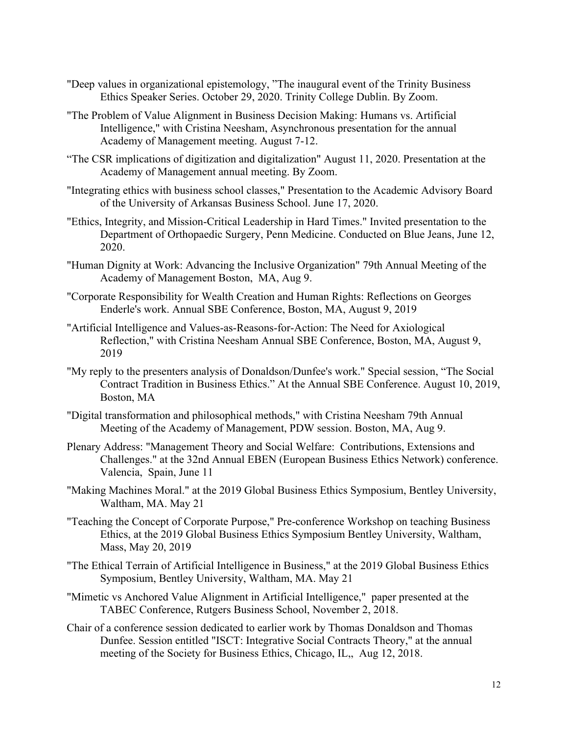- "Deep values in organizational epistemology, "The inaugural event of the Trinity Business Ethics Speaker Series. October 29, 2020. Trinity College Dublin. By Zoom.
- "The Problem of Value Alignment in Business Decision Making: Humans vs. Artificial Intelligence," with Cristina Neesham, Asynchronous presentation for the annual Academy of Management meeting. August 7-12.
- "The CSR implications of digitization and digitalization" August 11, 2020. Presentation at the Academy of Management annual meeting. By Zoom.
- "Integrating ethics with business school classes," Presentation to the Academic Advisory Board of the University of Arkansas Business School. June 17, 2020.
- "Ethics, Integrity, and Mission-Critical Leadership in Hard Times." Invited presentation to the Department of Orthopaedic Surgery, Penn Medicine. Conducted on Blue Jeans, June 12, 2020.
- "Human Dignity at Work: Advancing the Inclusive Organization" 79th Annual Meeting of the Academy of Management Boston, MA, Aug 9.
- "Corporate Responsibility for Wealth Creation and Human Rights: Reflections on Georges Enderle's work. Annual SBE Conference, Boston, MA, August 9, 2019
- "Artificial Intelligence and Values-as-Reasons-for-Action: The Need for Axiological Reflection," with Cristina Neesham Annual SBE Conference, Boston, MA, August 9, 2019
- "My reply to the presenters analysis of Donaldson/Dunfee's work." Special session, "The Social Contract Tradition in Business Ethics." At the Annual SBE Conference. August 10, 2019, Boston, MA
- "Digital transformation and philosophical methods," with Cristina Neesham 79th Annual Meeting of the Academy of Management, PDW session. Boston, MA, Aug 9.
- Plenary Address: "Management Theory and Social Welfare: Contributions, Extensions and Challenges." at the 32nd Annual EBEN (European Business Ethics Network) conference. Valencia, Spain, June 11
- "Making Machines Moral." at the 2019 Global Business Ethics Symposium, Bentley University, Waltham, MA. May 21
- "Teaching the Concept of Corporate Purpose," Pre-conference Workshop on teaching Business Ethics, at the 2019 Global Business Ethics Symposium Bentley University, Waltham, Mass, May 20, 2019
- "The Ethical Terrain of Artificial Intelligence in Business," at the 2019 Global Business Ethics Symposium, Bentley University, Waltham, MA. May 21
- "Mimetic vs Anchored Value Alignment in Artificial Intelligence," paper presented at the TABEC Conference, Rutgers Business School, November 2, 2018.
- Chair of a conference session dedicated to earlier work by Thomas Donaldson and Thomas Dunfee. Session entitled "ISCT: Integrative Social Contracts Theory," at the annual meeting of the Society for Business Ethics, Chicago, IL,, Aug 12, 2018.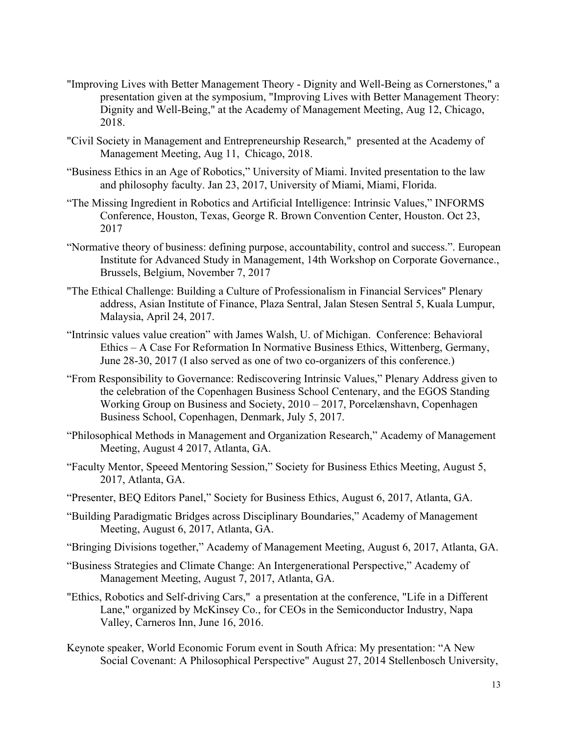- "Improving Lives with Better Management Theory Dignity and Well-Being as Cornerstones," a presentation given at the symposium, "Improving Lives with Better Management Theory: Dignity and Well-Being," at the Academy of Management Meeting, Aug 12, Chicago, 2018.
- "Civil Society in Management and Entrepreneurship Research," presented at the Academy of Management Meeting, Aug 11, Chicago, 2018.
- "Business Ethics in an Age of Robotics," University of Miami. Invited presentation to the law and philosophy faculty. Jan 23, 2017, University of Miami, Miami, Florida.
- "The Missing Ingredient in Robotics and Artificial Intelligence: Intrinsic Values," INFORMS Conference, Houston, Texas, George R. Brown Convention Center, Houston. Oct 23, 2017
- "Normative theory of business: defining purpose, accountability, control and success.". European Institute for Advanced Study in Management, 14th Workshop on Corporate Governance., Brussels, Belgium, November 7, 2017
- "The Ethical Challenge: Building a Culture of Professionalism in Financial Services" Plenary address, Asian Institute of Finance, Plaza Sentral, Jalan Stesen Sentral 5, Kuala Lumpur, Malaysia, April 24, 2017.
- "Intrinsic values value creation" with James Walsh, U. of Michigan. Conference: Behavioral Ethics – A Case For Reformation In Normative Business Ethics, Wittenberg, Germany, June 28-30, 2017 (I also served as one of two co-organizers of this conference.)
- "From Responsibility to Governance: Rediscovering Intrinsic Values," Plenary Address given to the celebration of the Copenhagen Business School Centenary, and the EGOS Standing Working Group on Business and Society, 2010 – 2017, Porcelænshavn, Copenhagen Business School, Copenhagen, Denmark, July 5, 2017.
- "Philosophical Methods in Management and Organization Research," Academy of Management Meeting, August 4 2017, Atlanta, GA.
- "Faculty Mentor, Speeed Mentoring Session," Society for Business Ethics Meeting, August 5, 2017, Atlanta, GA.
- "Presenter, BEQ Editors Panel," Society for Business Ethics, August 6, 2017, Atlanta, GA.
- "Building Paradigmatic Bridges across Disciplinary Boundaries," Academy of Management Meeting, August 6, 2017, Atlanta, GA.
- "Bringing Divisions together," Academy of Management Meeting, August 6, 2017, Atlanta, GA.
- "Business Strategies and Climate Change: An Intergenerational Perspective," Academy of Management Meeting, August 7, 2017, Atlanta, GA.
- "Ethics, Robotics and Self-driving Cars," a presentation at the conference, "Life in a Different Lane," organized by McKinsey Co., for CEOs in the Semiconductor Industry, Napa Valley, Carneros Inn, June 16, 2016.
- Keynote speaker, World Economic Forum event in South Africa: My presentation: "A New Social Covenant: A Philosophical Perspective" August 27, 2014 Stellenbosch University,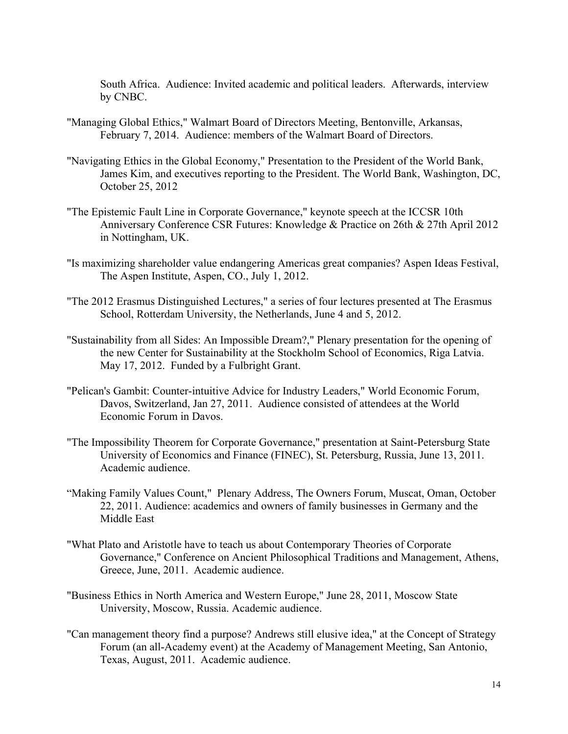South Africa. Audience: Invited academic and political leaders. Afterwards, interview by CNBC.

- "Managing Global Ethics," Walmart Board of Directors Meeting, Bentonville, Arkansas, February 7, 2014. Audience: members of the Walmart Board of Directors.
- "Navigating Ethics in the Global Economy," Presentation to the President of the World Bank, James Kim, and executives reporting to the President. The World Bank, Washington, DC, October 25, 2012
- "The Epistemic Fault Line in Corporate Governance," keynote speech at the ICCSR 10th Anniversary Conference CSR Futures: Knowledge & Practice on 26th & 27th April 2012 in Nottingham, UK.
- "Is maximizing shareholder value endangering Americas great companies? Aspen Ideas Festival, The Aspen Institute, Aspen, CO., July 1, 2012.
- "The 2012 Erasmus Distinguished Lectures," a series of four lectures presented at The Erasmus School, Rotterdam University, the Netherlands, June 4 and 5, 2012.
- "Sustainability from all Sides: An Impossible Dream?," Plenary presentation for the opening of the new Center for Sustainability at the Stockholm School of Economics, Riga Latvia. May 17, 2012. Funded by a Fulbright Grant.
- "Pelican's Gambit: Counter-intuitive Advice for Industry Leaders," World Economic Forum, Davos, Switzerland, Jan 27, 2011. Audience consisted of attendees at the World Economic Forum in Davos.
- "The Impossibility Theorem for Corporate Governance," presentation at Saint-Petersburg State University of Economics and Finance (FINEC), St. Petersburg, Russia, June 13, 2011. Academic audience.
- "Making Family Values Count," Plenary Address, The Owners Forum, Muscat, Oman, October 22, 2011. Audience: academics and owners of family businesses in Germany and the Middle East
- "What Plato and Aristotle have to teach us about Contemporary Theories of Corporate Governance," Conference on Ancient Philosophical Traditions and Management, Athens, Greece, June, 2011. Academic audience.
- "Business Ethics in North America and Western Europe," June 28, 2011, Moscow State University, Moscow, Russia. Academic audience.
- "Can management theory find a purpose? Andrews still elusive idea," at the Concept of Strategy Forum (an all-Academy event) at the Academy of Management Meeting, San Antonio, Texas, August, 2011. Academic audience.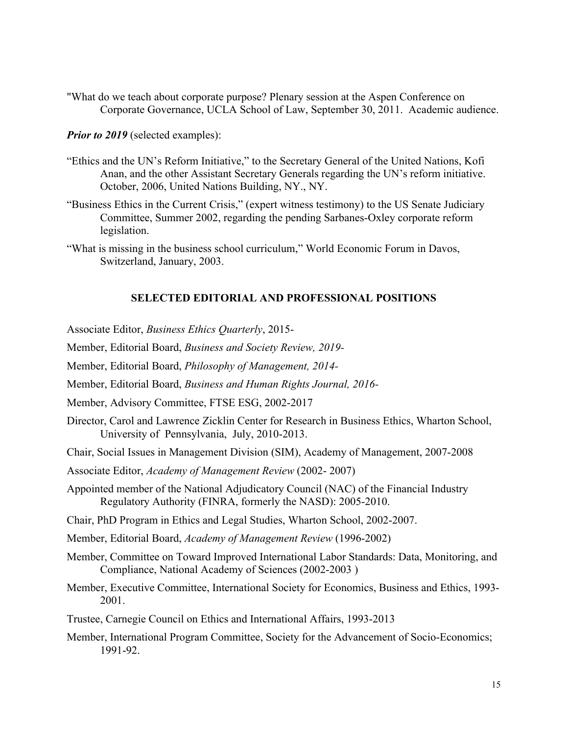"What do we teach about corporate purpose? Plenary session at the Aspen Conference on Corporate Governance, UCLA School of Law, September 30, 2011. Academic audience.

*Prior to 2019* (selected examples):

- "Ethics and the UN's Reform Initiative," to the Secretary General of the United Nations, Kofi Anan, and the other Assistant Secretary Generals regarding the UN's reform initiative. October, 2006, United Nations Building, NY., NY.
- "Business Ethics in the Current Crisis," (expert witness testimony) to the US Senate Judiciary Committee, Summer 2002, regarding the pending Sarbanes-Oxley corporate reform legislation.
- "What is missing in the business school curriculum," World Economic Forum in Davos, Switzerland, January, 2003.

# **SELECTED EDITORIAL AND PROFESSIONAL POSITIONS**

- Associate Editor, *Business Ethics Quarterly*, 2015-
- Member, Editorial Board, *Business and Society Review, 2019-*
- Member, Editorial Board, *Philosophy of Management, 2014-*
- Member, Editorial Board, *Business and Human Rights Journal, 2016-*
- Member, Advisory Committee, FTSE ESG, 2002-2017
- Director, Carol and Lawrence Zicklin Center for Research in Business Ethics, Wharton School, University of Pennsylvania, July, 2010-2013.
- Chair, Social Issues in Management Division (SIM), Academy of Management, 2007-2008
- Associate Editor, *Academy of Management Review* (2002- 2007)
- Appointed member of the National Adjudicatory Council (NAC) of the Financial Industry Regulatory Authority (FINRA, formerly the NASD): 2005-2010.
- Chair, PhD Program in Ethics and Legal Studies, Wharton School, 2002-2007.
- Member, Editorial Board, *Academy of Management Review* (1996-2002)
- Member, Committee on Toward Improved International Labor Standards: Data, Monitoring, and Compliance, National Academy of Sciences (2002-2003 )
- Member, Executive Committee, International Society for Economics, Business and Ethics, 1993- 2001.
- Trustee, Carnegie Council on Ethics and International Affairs, 1993-2013
- Member, International Program Committee, Society for the Advancement of Socio-Economics; 1991-92.